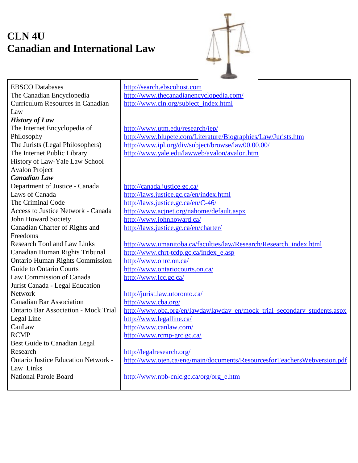## **CLN 4U Canadian and International Law**



EBSCO Databases The Canadian Encyclopedia Curriculum Resources in Canadian Law *History of Law* The Internet Encyclopedia of Philosophy The Jurists (Legal Philosophers) The Internet Public Library History of Law-Yale Law School Avalon Project *Canadian Law* Department of Justice - Canada Laws of Canada The Criminal Code Access to Justice Network - Canada John Howard Society Canadian Charter of Rights and Freedoms Research Tool and Law Links Canadian Human Rights Tribunal Ontario Human Rights Commission Guide to Ontario Courts Law Commission of Canada Jurist Canada - Legal Education Network Canadian Bar Association Ontario Bar Association - Mock Trial Legal Line CanLaw RCMP Best Guide to Canadian Legal Research Ontario Justice Education Network - Law Links National Parole Board http://search.ebscohost.com http://www.thecanadianencyclopedia.com/ http://www.cln.org/subject\_index.html http://www.utm.edu/research/iep/ http://www.blupete.com/Literature/Biographies/Law/Jurists.htm http://www.ipl.org/div/subject/browse/law00.00.00/ http://www.yale.edu/lawweb/avalon/avalon.htm http://canada.justice.gc.ca/ http://laws.justice.gc.ca/en/index.html http://laws.justice.gc.ca/en/C-46/ http://www.acjnet.org/nahome/default.aspx http://www.johnhoward.ca/ http://laws.justice.gc.ca/en/charter/ http://www.umanitoba.ca/faculties/law/Research/Research\_index.html http://www.chrt-tcdp.gc.ca/index\_e.asp http://www.ohrc.on.ca/ http://www.ontariocourts.on.ca/ http://www.lcc.gc.ca/ http://jurist.law.utoronto.ca/ http://www.cba.org/ http://www.oba.org/en/lawday/lawday\_en/mock\_trial\_secondary\_students.aspx http://www.legalline.ca/ http://www.canlaw.com/ http://www.rcmp-grc.gc.ca/ http://legalresearch.org/ http://www.ojen.ca/eng/main/documents/ResourcesforTeachersWebversion.pdf http://www.npb-cnlc.gc.ca/org/org\_e.htm